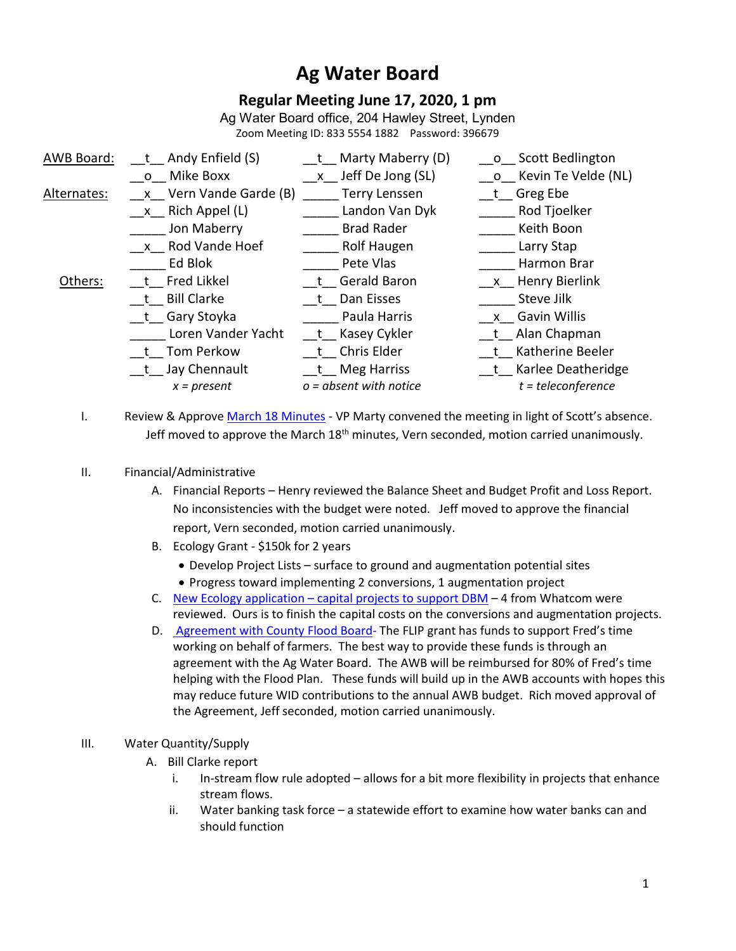# **Ag Water Board**

# **Regular Meeting June 17, 2020, 1 pm**

Ag Water Board office, 204 Hawley Street, Lynden Zoom Meeting ID: 833 5554 1882 Password: 396679

| AWB Board:  | t Andy Enfield (S)        | t Marty Maberry (D)              | o Scott Bedlington    |
|-------------|---------------------------|----------------------------------|-----------------------|
|             | Mike Boxx<br>$\mathsf{O}$ | Jeff De Jong (SL)<br>$X_{\rm g}$ | o Kevin Te Velde (NL) |
| Alternates: | x Vern Vande Garde (B)    | <b>Terry Lenssen</b>             | t Greg Ebe            |
|             | x Rich Appel (L)          | Landon Van Dyk                   | Rod Tjoelker          |
|             | Jon Maberry               | <b>Brad Rader</b>                | Keith Boon            |
|             | x Rod Vande Hoef          | Rolf Haugen                      | Larry Stap            |
|             | Ed Blok                   | Pete Vlas                        | Harmon Brar           |
| Others:     | t Fred Likkel             | t Gerald Baron                   | x Henry Bierlink      |
|             | <b>Bill Clarke</b>        | Dan Eisses                       | Steve Jilk            |
|             | t Gary Stoyka             | Paula Harris                     | x Gavin Willis        |
|             | Loren Vander Yacht        | __t__ Kasey Cykler               | t Alan Chapman        |
|             | t Tom Perkow              | t Chris Elder                    | t Katherine Beeler    |
|             | t Jay Chennault           | t Meg Harriss                    | t Karlee Deatheridge  |
|             | $x = present$             | $o = absent$ with notice         | $t = teleconference$  |

I. Review & Approve March 18 Minutes - VP Marty convened the meeting in light of Scott's absence. Jeff moved to approve the March  $18<sup>th</sup>$  minutes, Vern seconded, motion carried unanimously.

#### II. Financial/Administrative

- A. Financial Reports Henry reviewed the Balance Sheet and Budget Profit and Loss Report. No inconsistencies with the budget were noted. Jeff moved to approve the financial report, Vern seconded, motion carried unanimously.
- B. Ecology Grant \$150k for 2 years
	- Develop Project Lists surface to ground and augmentation potential sites
	- Progress toward implementing 2 conversions, 1 augmentation project
- C. New Ecology application capital projects to support DBM 4 from Whatcom were reviewed. Ours is to finish the capital costs on the conversions and augmentation projects.
- D. Agreement with County Flood Board- The FLIP grant has funds to support Fred's time working on behalf of farmers. The best way to provide these funds is through an agreement with the Ag Water Board. The AWB will be reimbursed for 80% of Fred's time helping with the Flood Plan. These funds will build up in the AWB accounts with hopes this may reduce future WID contributions to the annual AWB budget. Rich moved approval of the Agreement, Jeff seconded, motion carried unanimously.

## III. Water Quantity/Supply

- A. Bill Clarke report
	- i. In-stream flow rule adopted allows for a bit more flexibility in projects that enhance stream flows.
	- ii. Water banking task force a statewide effort to examine how water banks can and should function